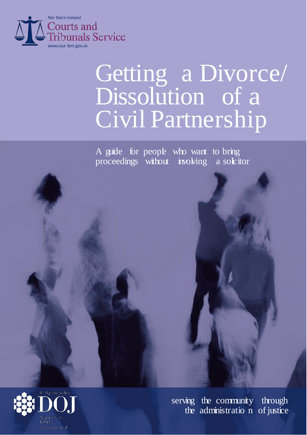

# Getting a Divorce/ Dissolution of a Civil Partnership

A guide for people who want to bring proceedings without involving a solution



serving the community through the administratio n of justice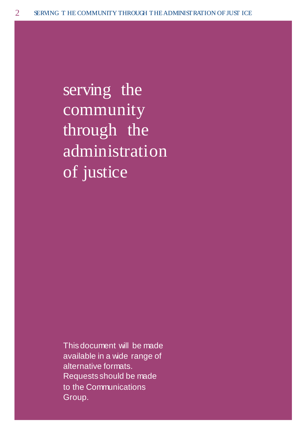serving the community through the administration of justice

This document will be made available in a wide range of alternative formats. Requests should be made to the Communications Group.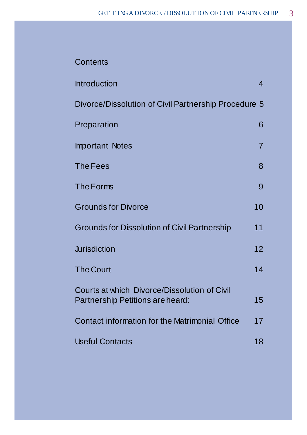#### **Contents**

| <b>Introduction</b>                                                              | 4  |
|----------------------------------------------------------------------------------|----|
| Divorce/Dissolution of Civil Partnership Procedure 5                             |    |
| Preparation                                                                      | 6  |
| <b>Important Notes</b>                                                           | 7  |
| <b>The Fees</b>                                                                  | 8  |
| The Forms                                                                        | 9  |
| <b>Grounds for Divorce</b>                                                       | 10 |
| <b>Grounds for Dissolution of Civil Partnership</b>                              | 11 |
| <b>Jurisdiction</b>                                                              | 12 |
| <b>The Court</b>                                                                 | 14 |
| Courts at which Divorce/Dissolution of Civil<br>Partnership Petitions are heard: | 15 |
| Contact information for the Matrimonial Office                                   | 17 |
| <b>Useful Contacts</b>                                                           | 18 |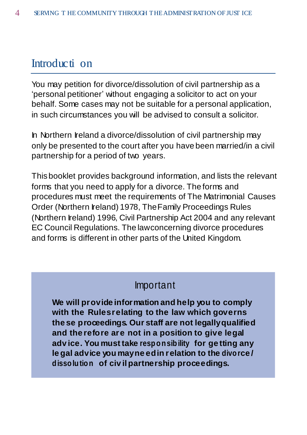#### Introducti on

You may petition for divorce/dissolution of civil partnership as a 'personal petitioner' without engaging a solicitor to act on your behalf. Some cases may not be suitable for a personal application, in such circumstances you will be advised to consult a solicitor.

In Northern Ireland a divorce/dissolution of civil partnership may only be presented to the court after you have been married/in a civil partnership for a period of two years.

This booklet provides background information, and lists the relevant forms that you need to apply for a divorce. The forms and procedures must meet the requirements of The Matrimonial Causes Order (Northern Ireland) 1978, TheFamily Proceedings Rules (Northern Ireland) 1996, Civil Partnership Act 2004 and any relevant EC Council Regulations. The lawconcerning divorce procedures and forms is different in other parts of the United Kingdom.

#### Important

**We will provide information and help you to comply with the Rulesrelating to the law which governs the se proceedings. Our staff are not legallyqualified and the refore are not in a position to give legal adv ice. You must take responsibility for ge tting any le gal advice you mayne edin relation to the divorce / dissolution of civ ilpartnership proceedings.**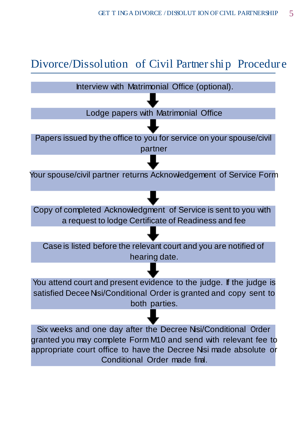## Divorce/Dissolution of Civil Partnership Procedure



Conditional Order made final.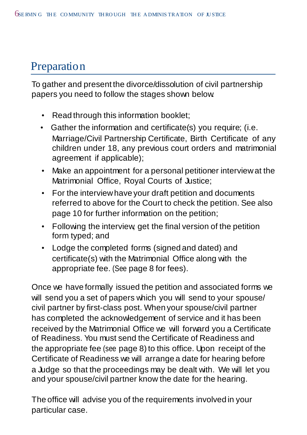# **Preparation**

To gather and present the divorce/dissolution of civil partnership papers you need to follow the stages shown below.

- Read through this information booklet;
- Gather the information and certificate(s) you require; (i.e. Marriage/Civil Partnership Certificate, Birth Certificate of any children under 18, any previous court orders and matrimonial agreement if applicable);
- Make an appointment for a personal petitioner interviewat the Matrimonial Office, Royal Courts of Justice;
- For the interviewhave your draft petition and documents referred to above for the Court to check the petition. See also page 10 for further information on the petition;
- Following the interview, get the final version of the petition form typed; and
- Lodge the completed forms (signed and dated) and certificate(s) with the Matrimonial Office along with the appropriate fee. (See page 8 for fees).

Once we have formally issued the petition and associated forms we will send you a set of papers which you will send to your spouse/ civil partner by first-class post. When your spouse/civil partner has completed the acknowledgement of service and it has been received by the Matrimonial Office we will forward you a Certificate of Readiness. You must send the Certificate of Readiness and the appropriate fee (see page 8) to this office. Upon receipt of the Certificate of Readiness we will arrange a date for hearing before a Judge so that the proceedings may be dealt with. We will let you and your spouse/civil partner know the date for the hearing.

The office will advise you of the requirements involved in your particular case.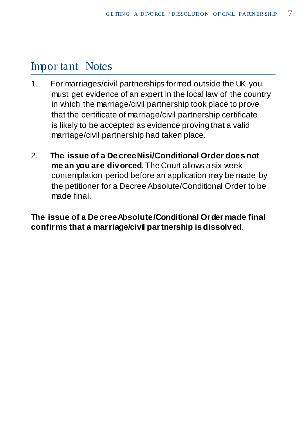## Impor tant Notes

- 1. For marriages/civil partnerships formed outside the UK you must get evidence of an expert in the local law of the country in which the marriage/civil partnership took place to prove that the certificate of marriage/civil partnership certificate is likely to be accepted as evidence proving that a valid marriage/civil partnership had taken place.
- 2. **The issue of a De creeNisi/Conditional Order does not me an you are divorced**.The Court allows a six week contemplation period before an application may be made by the petitioner for a Decree Absolute/Conditional Order to be made final.

**The issue of a De creeAbsolute/Conditional Order made final confirms that a marriage/civil partnership is dissolved**.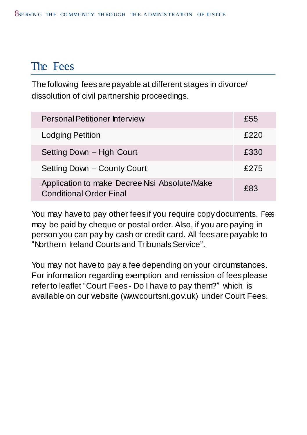### The Fees

The following fees are payable at different stages in divorce/ dissolution of civil partnership proceedings.

| <b>Personal Petitioner Interview</b>                                           | £55  |
|--------------------------------------------------------------------------------|------|
| <b>Lodging Petition</b>                                                        | £220 |
| Setting Down - High Court                                                      | £330 |
| Setting Down - County Court                                                    | £275 |
| Application to make Decree Nsi Absolute/Make<br><b>Conditional Order Final</b> | £83  |

You may have to pay other fees if you require copy documents. Fees may be paid by cheque or postal order. Also, if you are paying in person you can pay by cash or credit card. All fees are payable to "Northern Ireland Courts and Tribunals Service".

You may not have to pay a fee depending on your circumstances. For information regarding exemption and remission of fees please referto leaflet "Court Fees - Do I have to pay them?" which is available on our website (www.courtsni.gov.uk) under Court Fees.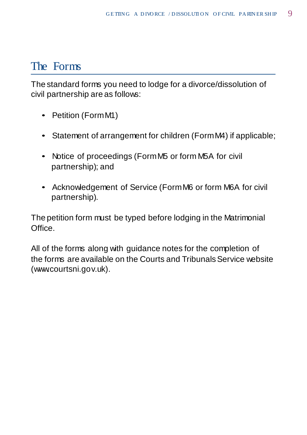### The Forms

The standard forms you need to lodge for a divorce/dissolution of civil partnership are as follows:

- Petition (FormM1)
- Statement of arrangement for children (FormM4) if applicable;
- Notice of proceedings (FormM5 or form M5A for civil partnership); and
- Acknowledgement of Service (FormM6 or form M6A for civil partnership).

The petition form must be typed before lodging in the Matrimonial Office.

All of the forms along with guidance notes for the completion of the forms are available on the Courts and Tribunals Service website (www.courtsni.gov.uk).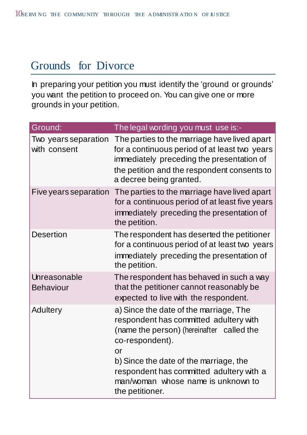### Grounds for Divorce

In preparing your petition you must identify the 'ground or grounds' you want the petition to proceed on. You can give one or more grounds in your petition.

| Ground:                              | The legal wording you must use is:-                                                                                                                                                                                                                                                                   |
|--------------------------------------|-------------------------------------------------------------------------------------------------------------------------------------------------------------------------------------------------------------------------------------------------------------------------------------------------------|
| Two years separation<br>with consent | The parties to the marriage have lived apart<br>for a continuous period of at least two years<br>immediately preceding the presentation of<br>the petition and the respondent consents to<br>a decree being granted.                                                                                  |
| Five years separation                | The parties to the marriage have lived apart<br>for a continuous period of at least five years<br>immediately preceding the presentation of<br>the petition.                                                                                                                                          |
| <b>Desertion</b>                     | The respondent has deserted the petitioner<br>for a continuous period of at least two years<br>immediately preceding the presentation of<br>the petition.                                                                                                                                             |
| Unreasonable<br><b>Behaviour</b>     | The respondent has behaved in such a way<br>that the petitioner cannot reasonably be<br>expected to live with the respondent.                                                                                                                                                                         |
| Adultery                             | a) Since the date of the marriage, The<br>respondent has committed adultery with<br>(name the person) (hereinafter called the<br>co-respondent).<br>or<br>b) Since the date of the marriage, the<br>respondent has committed adultery with a<br>man/woman whose name is unknown to<br>the petitioner. |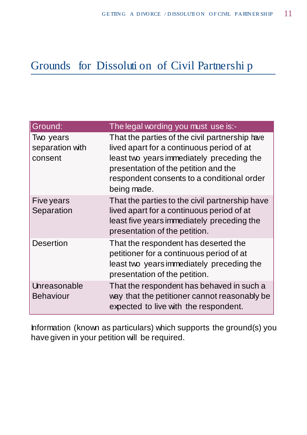### Grounds for Dissoluti on of Civil Partnershi p

| Ground:                                 | The legal wording you must use is:-                                                                                                                                                                                                           |
|-----------------------------------------|-----------------------------------------------------------------------------------------------------------------------------------------------------------------------------------------------------------------------------------------------|
| Two years<br>separation with<br>consent | That the parties of the civil partnership have<br>lived apart for a continuous period of at<br>least two years immediately preceding the<br>presentation of the petition and the<br>respondent consents to a conditional order<br>being made. |
| Five years<br>Separation                | That the parties to the civil partnership have<br>lived apart for a continuous period of at<br>least five years immediately preceding the<br>presentation of the petition.                                                                    |
| <b>Desertion</b>                        | That the respondent has deserted the<br>petitioner for a continuous period of at<br>least two years immediately preceding the<br>presentation of the petition.                                                                                |
| Unreasonable<br><b>Behaviour</b>        | That the respondent has behaved in such a<br>way that the petitioner cannot reasonably be<br>expected to live with the respondent.                                                                                                            |

Information (known as particulars) which supports the ground(s) you have given in your petition will be required.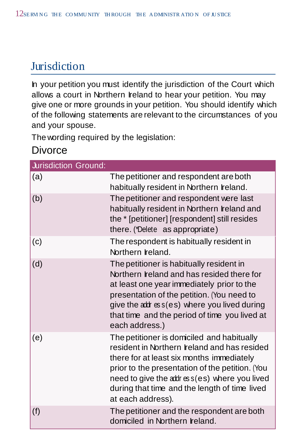# **Jurisdiction**

In your petition you must identify the jurisdiction of the Court which allows a court in Northern Ireland to hear your petition. You may give one or more grounds in your petition. You should identify which of the following statements are relevant to the circumstances of you and your spouse.

The wording required by the legislation:

#### **Divorce**

| <b>Jurisdiction Ground:</b> |                                                                                                                                                                                                                                                                                                                                                                                                                                                                                                                                                                                                                                        |
|-----------------------------|----------------------------------------------------------------------------------------------------------------------------------------------------------------------------------------------------------------------------------------------------------------------------------------------------------------------------------------------------------------------------------------------------------------------------------------------------------------------------------------------------------------------------------------------------------------------------------------------------------------------------------------|
| (a)                         | The petitioner and respondent are both<br>habitually resident in Northern Ireland.                                                                                                                                                                                                                                                                                                                                                                                                                                                                                                                                                     |
| (b)                         | The petitioner and respondent were last<br>habitually resident in Northern Ireland and<br>the * [petitioner] [respondent] still resides<br>there. (*Delete as appropriate)                                                                                                                                                                                                                                                                                                                                                                                                                                                             |
| (c)                         | The respondent is habitually resident in<br>Northern <b>reland</b> .                                                                                                                                                                                                                                                                                                                                                                                                                                                                                                                                                                   |
| (d)                         | The petitioner is habitually resident in<br>Northern Ireland and has resided there for<br>at least one year immediately prior to the<br>presentation of the petition. (You need to<br>give the $\alpha$ d $\alpha$ $\alpha$ s $\alpha$ $\beta$ $\alpha$ $\beta$ $\beta$ $\beta$ $\beta$ $\beta$ $\beta$ $\beta$ $\alpha$ $\beta$ $\beta$ $\beta$ $\alpha$ $\beta$ $\beta$ $\alpha$ $\beta$ $\beta$ $\alpha$ $\beta$ $\beta$ $\alpha$ $\beta$ $\alpha$ $\beta$ $\alpha$ $\beta$ $\alpha$ $\beta$ $\alpha$ $\beta$ $\alpha$ $\beta$ $\alpha$ $\beta$ $\alpha$ $\beta$<br>that time and the period of time you lived at<br>each address.) |
| (e)                         | The petitioner is domiciled and habitually<br>resident in Northern Ireland and has resided<br>there for at least six months immediately<br>prior to the presentation of the petition. (You<br>need to give the address(es) where you lived<br>during that time and the length of time lived<br>at each address).                                                                                                                                                                                                                                                                                                                       |
| (f)                         | The petitioner and the respondent are both<br>domiciled in Northern Ireland.                                                                                                                                                                                                                                                                                                                                                                                                                                                                                                                                                           |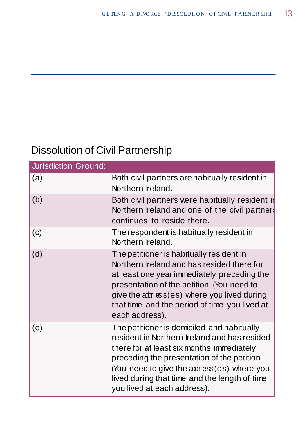# Dissolution of Civil Partnership

| <b>Jurisdiction Ground:</b> |                                                                                                                                                                                                                                                                                                                       |
|-----------------------------|-----------------------------------------------------------------------------------------------------------------------------------------------------------------------------------------------------------------------------------------------------------------------------------------------------------------------|
| (a)                         | Both civil partners are habitually resident in<br>Northern Ireland.                                                                                                                                                                                                                                                   |
| (b)                         | Both civil partners were habitually resident in<br>Northern Ireland and one of the civil partners<br>continues to reside there.                                                                                                                                                                                       |
| (c)                         | The respondent is habitually resident in<br>Northern Ireland.                                                                                                                                                                                                                                                         |
| (d)                         | The petitioner is habitually resident in<br>Northern Ireland and has resided there for<br>at least one year immediately preceding the<br>presentation of the petition. (You need to<br>give the address (es) where you lived during<br>that time and the period of time you lived at<br>each address).                |
| (e)                         | The petitioner is domiciled and habitually<br>resident in Northern Ireland and has resided<br>there for at least six months immediately<br>preceding the presentation of the petition<br>(You need to give the address (es) where you<br>lived during that time and the length of time<br>you lived at each address). |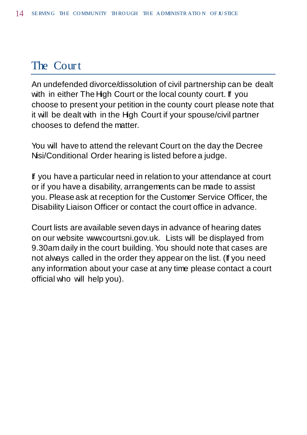#### The Court

An undefended divorce/dissolution of civil partnership can be dealt with in either The High Court or the local county court. If you choose to present your petition in the county court please note that it will be dealt with in the High Court if your spouse/civil partner chooses to defend the matter.

You will have to attend the relevant Court on the day the Decree Nsi/Conditional Order hearing is listed before a judge.

If you have a particular need in relation to your attendance at court or if you have a disability, arrangements can be made to assist you. Please ask at reception for the Customer Service Officer, the Disability Liaison Officer or contact the court office in advance.

Court lists are available seven days in advance of hearing dates on our website [www.courtsni.gov.uk. L](http://www.courtsni.gov.uk/)ists will be displayed from 9.30am daily in the court building. You should note that cases are not always called in the order they appear on the list. (If you need any information about your case at any time please contact a court official who will help you).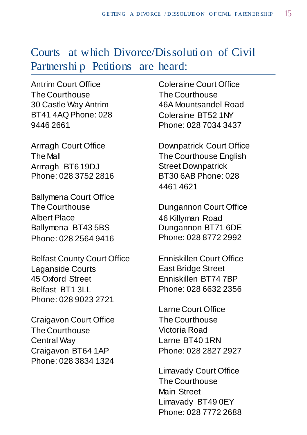#### Courts at which Divorce/Dissoluti on of Civil Partnershi p Petitions are heard:

Antrim Court Office The Courthouse 30 Castle Way Antrim BT41 4AQPhone: 028 9446 2661

Armagh Court Office The Mall Armagh BT6 19DJ Phone: 028 3752 2816

Ballymena Court Office The Courthouse Albert Place Ballymena BT43 5BS Phone: 028 2564 9416

Belfast County Court Office Laganside Courts 45 Oxford Street Belfast BT1 3LL Phone: 028 9023 2721

Craigavon Court Office The Courthouse Central Way Craigavon BT64 1AP Phone: 028 3834 1324 Coleraine Court Office The Courthouse 46A Mountsandel Road Coleraine BT52 1NY Phone: 028 7034 3437

Downpatrick Court Office The Courthouse English Street Downpatrick BT30 6AB Phone: 028 4461 4621

Dungannon Court Office 46 Killyman Road Dungannon BT71 6DE Phone: 028 8772 2992

Enniskillen Court Office East Bridge Street Enniskillen BT74 7BP Phone: 028 6632 2356

Larne Court Office The Courthouse Victoria Road Larne BT40 1RN Phone: 028 2827 2927

Limavady Court Office The Courthouse Main Street Limavady BT49 0EY Phone: 028 7772 2688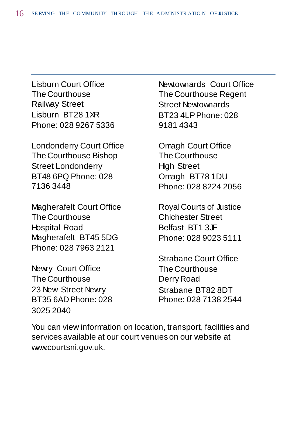Lisburn Court Office The Courthouse Railway Street Lisburn BT28 1XR Phone: 028 9267 5336

Londonderry Court Office The Courthouse Bishop Street Londonderry BT48 6PQ Phone: 028 7136 3448

Magherafelt Court Office The Courthouse Hospital Road Magherafelt BT45 5DG Phone: 028 7963 2121

Newry Court Office The Courthouse 23 New Street Newry BT35 6ADPhone: 028 3025 2040

Newtownards Court Office The Courthouse Regent Street Newtownards BT23 4LPPhone: 028 9181 4343

Omagh Court Office The Courthouse High Street Omagh BT78 1DU Phone: 028 8224 2056

RoyalCourts of Justice Chichester Street Belfast BT1 3JF Phone: 028 9023 5111

Strabane Court Office The Courthouse DerryRoad Strabane BT82 8DT Phone: 028 7138 2544

You can view information on location, transport, facilities and services available at our court venues on our website at [www.courtsni.gov.uk.](http://www.courtsni.gov.uk/)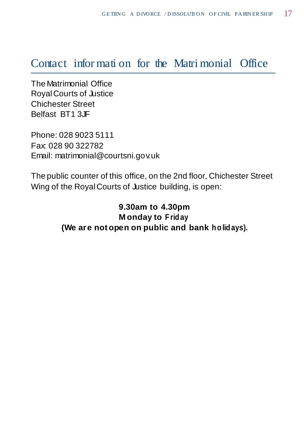#### Contact infor mati on for the Matri monial Office

The Matrimonial Office RoyalCourts of Justice Chichester Street Belfast BT1 3JF

Phone: 028 9023 5111 Fax: 028 90 322782 Email: [matrimonial@courtsni.gov.uk](mailto:matrimonial@courtsni.gov.uk)

The public counter of this office, on the 2nd floor, Chichester Street Wing of the Royal Courts of Justice building, is open:

> **9.30am to 4.30pm M onday to Friday (We are not open on public and bank h olidays).**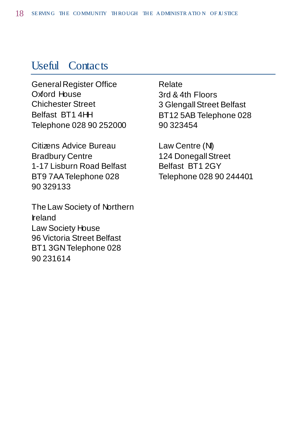#### Useful Contacts

General Register Office Oxford House Chichester Street Belfast BT1 4HH Telephone 028 90 252000

Citizens Advice Bureau Bradbury Centre 1-17 Lisburn Road Belfast BT9 7AATelephone 028 90 329133

The Law Society of Northern Ireland Law Society House 96 Victoria Street Belfast BT1 3GNTelephone 028 90 231614

Relate 3rd & 4th Floors 3 GlengallStreet Belfast BT12 5AB Telephone 028 90 323454

Law Centre (NI) 124 Donegall Street Belfast BT1 2GY Telephone 028 90 244401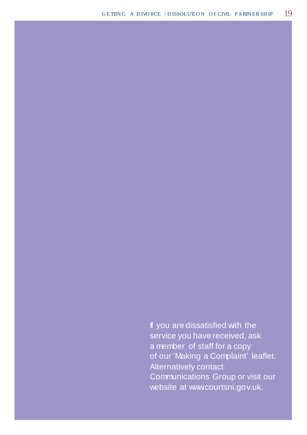If you are dissatisfied with the service you have received, ask a member of staff for a copy of our 'Making a Complaint' leaflet. Alternatively contact Communications Group or visit our website at [www.courtsni.gov.uk.](http://www.courtsni.gov.uk/)